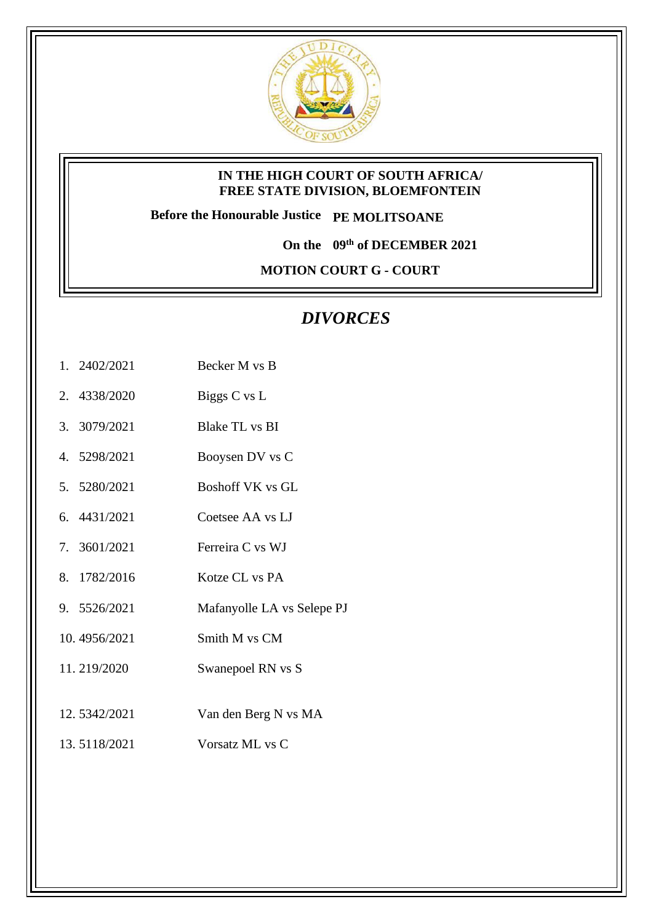

#### **IN THE HIGH COURT OF SOUTH AFRICA/ FREE STATE DIVISION, BLOEMFONTEIN**

**Before the Honourable Justice PE MOLITSOANE**

**On the 09th of DECEMBER 2021**

**MOTION COURT G - COURT** 

# *DIVORCES*

- 1. 2402/2021 Becker M vs B
- 2. 4338/2020 Biggs C vs L
- 3. 3079/2021 Blake TL vs BI
- 4. 5298/2021 Booysen DV vs C
- 5. 5280/2021 Boshoff VK vs GL
- 6. 4431/2021 Coetsee AA vs LJ
- 7. 3601/2021 Ferreira C vs WJ
- 8. 1782/2016 Kotze CL vs PA
- 9. 5526/2021 Mafanyolle LA vs Selepe PJ
- 10. 4956/2021 Smith M vs CM
- 11. 219/2020 Swanepoel RN vs S
- 12. 5342/2021 Van den Berg N vs MA
- 13. 5118/2021 Vorsatz ML vs C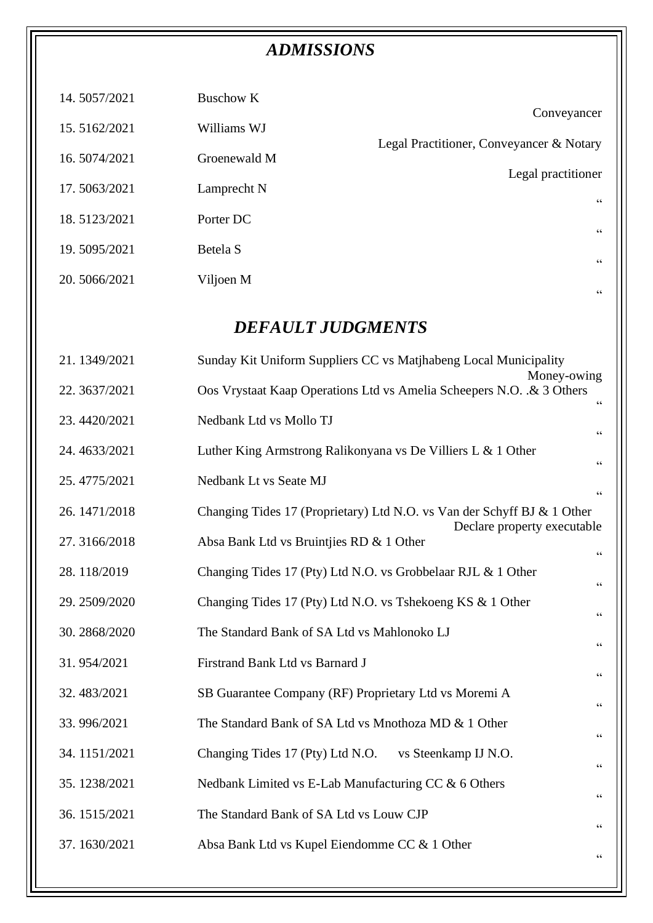# *ADMISSIONS*

| 14.5057/2021    | <b>Buschow K</b>                                             | Conveyancer                                                                                            |  |  |
|-----------------|--------------------------------------------------------------|--------------------------------------------------------------------------------------------------------|--|--|
| 15.5162/2021    | Williams WJ                                                  |                                                                                                        |  |  |
| 16.5074/2021    | Groenewald M                                                 | Legal Practitioner, Conveyancer & Notary                                                               |  |  |
| 17.5063/2021    | Lamprecht N                                                  | Legal practitioner<br>$\zeta$ $\zeta$                                                                  |  |  |
| 18.5123/2021    | Porter DC                                                    | $\mbox{\bf G}$                                                                                         |  |  |
| 19.5095/2021    | Betela S                                                     | $\mbox{\bf G}$                                                                                         |  |  |
| 20.5066/2021    | Viljoen M                                                    |                                                                                                        |  |  |
| $\zeta$ $\zeta$ |                                                              |                                                                                                        |  |  |
|                 | <b>DEFAULT JUDGMENTS</b>                                     |                                                                                                        |  |  |
| 21.1349/2021    |                                                              | Sunday Kit Uniform Suppliers CC vs Matjhabeng Local Municipality<br>Money-owing                        |  |  |
| 22. 3637/2021   |                                                              | Oos Vrystaat Kaap Operations Ltd vs Amelia Scheepers N.O. & 3 Others<br>$\zeta$ $\zeta$                |  |  |
| 23.4420/2021    | Nedbank Ltd vs Mollo TJ                                      | $\mbox{\bf G}$                                                                                         |  |  |
| 24.4633/2021    | Luther King Armstrong Ralikonyana vs De Villiers L & 1 Other | $\mbox{\bf G}$                                                                                         |  |  |
| 25.4775/2021    | Nedbank Lt vs Seate MJ                                       | $\zeta$ $\zeta$                                                                                        |  |  |
| 26.1471/2018    |                                                              | Changing Tides 17 (Proprietary) Ltd N.O. vs Van der Schyff BJ & 1 Other<br>Declare property executable |  |  |
| 27.3166/2018    | Absa Bank Ltd vs Bruintjies RD & 1 Other                     |                                                                                                        |  |  |
| 28.118/2019     |                                                              | Changing Tides 17 (Pty) Ltd N.O. vs Grobbelaar RJL & 1 Other<br>$\zeta$ $\zeta$                        |  |  |
| 29.2509/2020    | Changing Tides 17 (Pty) Ltd N.O. vs Tshekoeng KS & 1 Other   | $\textsf{G}\,\textsf{G}$                                                                               |  |  |
| 30.2868/2020    | The Standard Bank of SA Ltd vs Mahlonoko LJ                  | $\zeta$ $\zeta$                                                                                        |  |  |
| 31.954/2021     | Firstrand Bank Ltd vs Barnard J                              | $\zeta$ $\zeta$                                                                                        |  |  |
| 32.483/2021     | SB Guarantee Company (RF) Proprietary Ltd vs Moremi A        | $\textsf{G}\,\textsf{G}$                                                                               |  |  |
| 33.996/2021     | The Standard Bank of SA Ltd vs Mnothoza MD & 1 Other         | $\zeta$ $\zeta$                                                                                        |  |  |
| 34.1151/2021    | Changing Tides 17 (Pty) Ltd N.O.                             | vs Steenkamp IJ N.O.<br>$\textsf{G}\,\textsf{G}$                                                       |  |  |
| 35.1238/2021    | Nedbank Limited vs E-Lab Manufacturing CC & 6 Others         | $\zeta$ $\zeta$                                                                                        |  |  |
| 36.1515/2021    | The Standard Bank of SA Ltd vs Louw CJP                      | $\textsf{G}\,\textsf{G}$                                                                               |  |  |
| 37.1630/2021    | Absa Bank Ltd vs Kupel Eiendomme CC & 1 Other                | $\mbox{\bf G}$                                                                                         |  |  |
|                 |                                                              |                                                                                                        |  |  |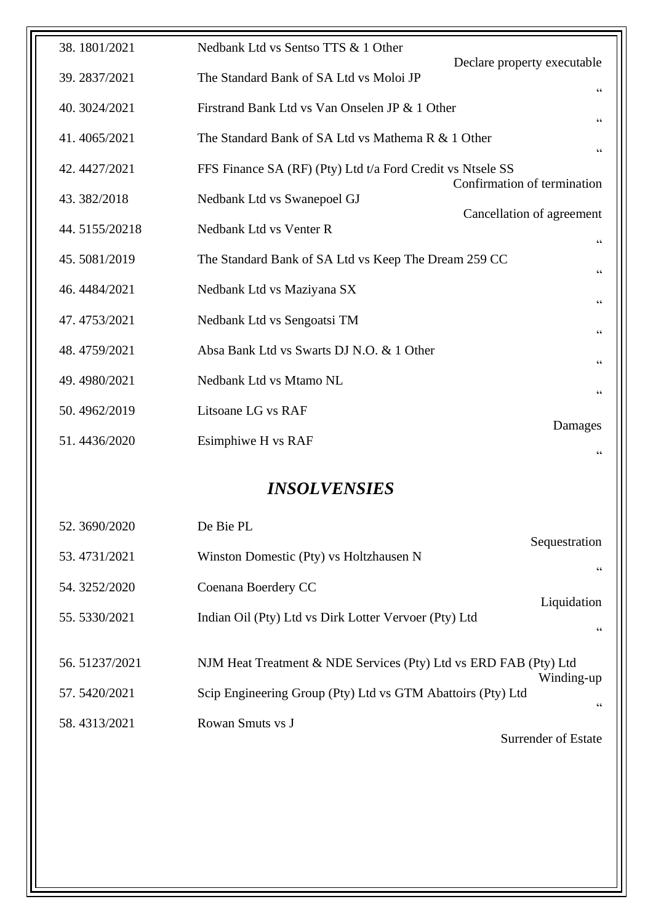| 38.1801/2021  | Nedbank Ltd vs Sentso TTS & 1 Other                                           |
|---------------|-------------------------------------------------------------------------------|
| 39.2837/2021  | Declare property executable<br>The Standard Bank of SA Ltd vs Moloi JP        |
| 40. 3024/2021 | $\zeta\,\zeta$<br>Firstrand Bank Ltd vs Van Onselen JP & 1 Other              |
| 41.4065/2021  | $\zeta \, \zeta$<br>The Standard Bank of SA Ltd vs Mathema R & 1 Other        |
| 42.4427/2021  | $\zeta$ $\zeta$<br>FFS Finance SA (RF) (Pty) Ltd t/a Ford Credit vs Ntsele SS |
| 43.382/2018   | Confirmation of termination<br>Nedbank Ltd vs Swanepoel GJ                    |
| 44.5155/20218 | Cancellation of agreement<br>Nedbank Ltd vs Venter R                          |
| 45.5081/2019  | $\mbox{\bf G}$<br>The Standard Bank of SA Ltd vs Keep The Dream 259 CC        |
|               | $\zeta$ $\zeta$                                                               |
| 46.4484/2021  | Nedbank Ltd vs Maziyana SX<br>$\zeta$ $\zeta$                                 |
| 47.4753/2021  | Nedbank Ltd vs Sengoatsi TM<br>$\zeta$ $\zeta$                                |
| 48.4759/2021  | Absa Bank Ltd vs Swarts DJ N.O. & 1 Other<br>$\mbox{\bf G}$                   |
| 49.4980/2021  | Nedbank Ltd vs Mtamo NL<br>$\mbox{\bf G}$                                     |
| 50.4962/2019  | Litsoane LG vs RAF<br>Damages                                                 |
| 51.4436/2020  | Esimphiwe H vs RAF<br>66                                                      |
|               |                                                                               |

### *INSOLVENSIES*

| 52.3690/2020  | De Bie PL                                                        |                     |
|---------------|------------------------------------------------------------------|---------------------|
| 53.4731/2021  | Winston Domestic (Pty) vs Holtzhausen N                          | Sequestration<br>66 |
| 54.3252/2020  | Coenana Boerdery CC                                              |                     |
| 55.5330/2021  | Indian Oil (Pty) Ltd vs Dirk Lotter Vervoer (Pty) Ltd            | Liquidation<br>66   |
| 56.51237/2021 | NJM Heat Treatment & NDE Services (Pty) Ltd vs ERD FAB (Pty) Ltd | Winding-up          |
| 57.5420/2021  | Scip Engineering Group (Pty) Ltd vs GTM Abattoirs (Pty) Ltd      | 66                  |
| 58.4313/2021  | Rowan Smuts vs J                                                 | Surrender of Estate |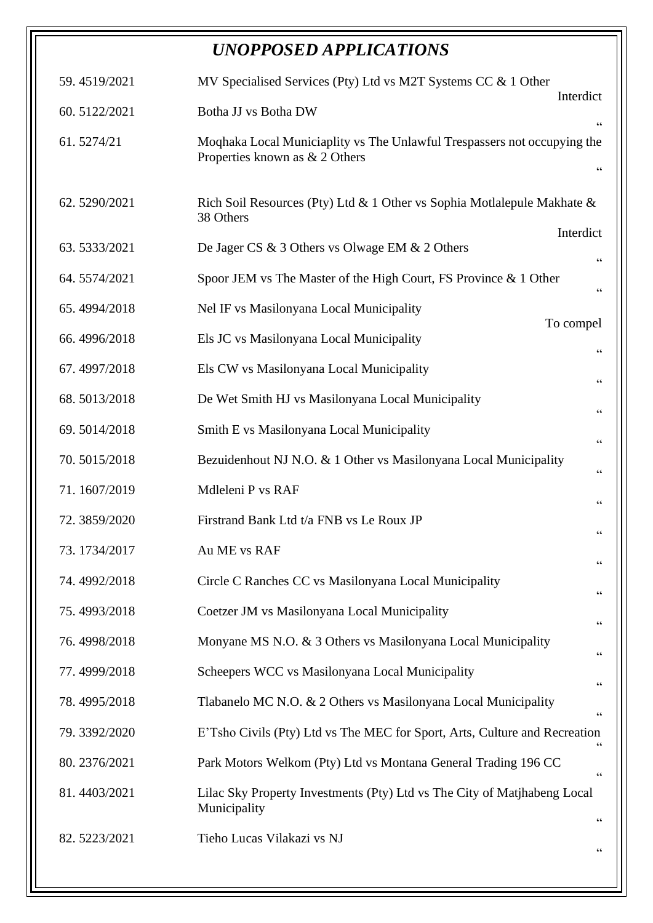# *UNOPPOSED APPLICATIONS*

| 59.4519/2021 | MV Specialised Services (Pty) Ltd vs M2T Systems CC $& 1$ Other<br>Interdict                                                  |
|--------------|-------------------------------------------------------------------------------------------------------------------------------|
| 60.5122/2021 | Botha JJ vs Botha DW<br>$\mbox{\bf G}$                                                                                        |
| 61.5274/21   | Moqhaka Local Municiaplity vs The Unlawful Trespassers not occupying the<br>Properties known as & 2 Others<br>$\zeta$ $\zeta$ |
| 62.5290/2021 | Rich Soil Resources (Pty) Ltd & 1 Other vs Sophia Motlalepule Makhate &<br>38 Others                                          |
| 63.5333/2021 | Interdict<br>De Jager CS & 3 Others vs Olwage EM & 2 Others<br>$\zeta\,\zeta$                                                 |
| 64.5574/2021 | Spoor JEM vs The Master of the High Court, FS Province & 1 Other<br>$\!\!\!\zeta\,\zeta\!\!\!\zeta\!\!\!\zeta$                |
| 65.4994/2018 | Nel IF vs Masilonyana Local Municipality                                                                                      |
| 66.4996/2018 | To compel<br>Els JC vs Masilonyana Local Municipality                                                                         |
| 67.4997/2018 | Els CW vs Masilonyana Local Municipality<br>$\zeta\,\zeta$                                                                    |
| 68.5013/2018 | De Wet Smith HJ vs Masilonyana Local Municipality                                                                             |
| 69.5014/2018 | $\zeta$ $\zeta$<br>Smith E vs Masilonyana Local Municipality                                                                  |
| 70.5015/2018 | $\zeta\,\zeta$<br>Bezuidenhout NJ N.O. & 1 Other vs Masilonyana Local Municipality                                            |
| 71.1607/2019 | $\!\!\!\zeta\,\zeta\!\!\!\zeta\!\!\!\zeta$<br>Mdleleni P vs RAF                                                               |
| 72.3859/2020 | $\!\!\!\zeta\,\zeta\!\!\!\zeta\!\!\!\zeta$<br>Firstrand Bank Ltd t/a FNB vs Le Roux JP                                        |
| 73.1734/2017 | $\zeta$ $\zeta$<br>Au ME vs RAF                                                                                               |
| 74.4992/2018 | $\zeta$ $\zeta$<br>Circle C Ranches CC vs Masilonyana Local Municipality                                                      |
| 75.4993/2018 | $\!\!\!\zeta\,\zeta\!\!\!\zeta\!\!\!\zeta$<br>Coetzer JM vs Masilonyana Local Municipality                                    |
| 76.4998/2018 | $\!\!\!\zeta\,\zeta\!\!\!\zeta\!\!\!\zeta$<br>Monyane MS N.O. & 3 Others vs Masilonyana Local Municipality                    |
| 77.4999/2018 | $\zeta\,\zeta$<br>Scheepers WCC vs Masilonyana Local Municipality                                                             |
| 78.4995/2018 | $\zeta$ $\zeta$<br>Tlabanelo MC N.O. & 2 Others vs Masilonyana Local Municipality                                             |
| 79.3392/2020 | $\!\!\!\zeta\,\zeta\!\!\!\zeta\!\!\!\zeta$<br>E'Tsho Civils (Pty) Ltd vs The MEC for Sport, Arts, Culture and Recreation      |
| 80.2376/2021 | 66<br>Park Motors Welkom (Pty) Ltd vs Montana General Trading 196 CC                                                          |
| 81.4403/2021 | $\zeta$ $\zeta$<br>Lilac Sky Property Investments (Pty) Ltd vs The City of Matjhabeng Local<br>Municipality                   |
| 82.5223/2021 | 66<br>Tieho Lucas Vilakazi vs NJ<br>$\!\!\!\zeta\,\zeta\!\!\!\zeta\!\!\!\zeta$                                                |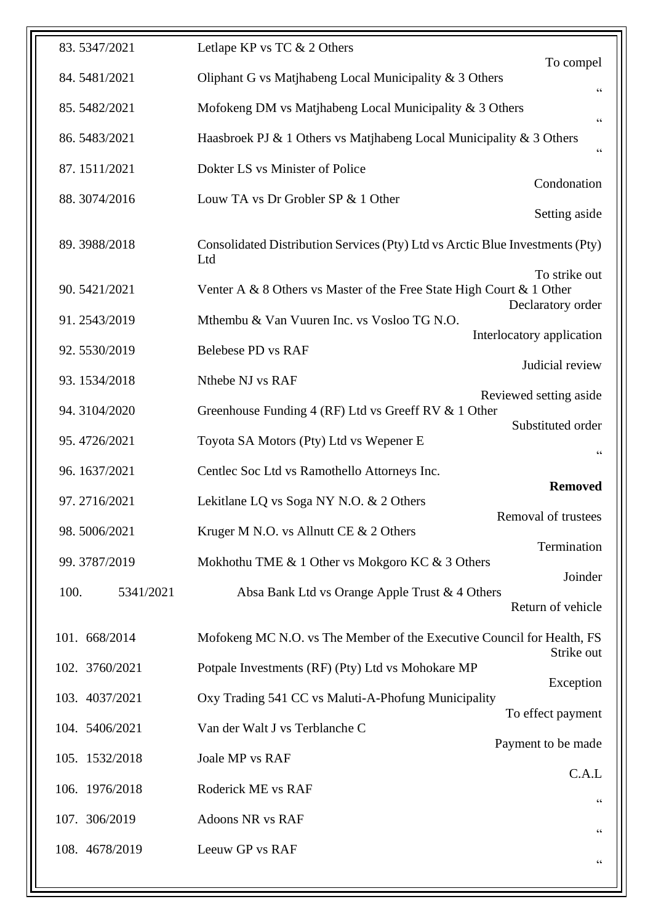| 83.5347/2021      | Letlape KP vs TC & 2 Others                                                                                                    |
|-------------------|--------------------------------------------------------------------------------------------------------------------------------|
| 84.5481/2021      | To compel<br>Oliphant G vs Matjhabeng Local Municipality & 3 Others                                                            |
| 85.5482/2021      | $\!\!\!\!\zeta\,\zeta\!\!\!\!\zeta\!\!\!\!\zeta$<br>Mofokeng DM vs Matjhabeng Local Municipality & 3 Others<br>$\zeta$ $\zeta$ |
| 86.5483/2021      | Haasbroek PJ & 1 Others vs Matjhabeng Local Municipality & 3 Others<br>$\zeta$ $\zeta$                                         |
| 87.1511/2021      | Dokter LS vs Minister of Police                                                                                                |
| 88.3074/2016      | Condonation<br>Louw TA vs Dr Grobler SP & 1 Other                                                                              |
|                   | Setting aside                                                                                                                  |
| 89.3988/2018      | Consolidated Distribution Services (Pty) Ltd vs Arctic Blue Investments (Pty)<br>Ltd                                           |
| 90.5421/2021      | To strike out<br>Venter A & 8 Others vs Master of the Free State High Court & 1 Other<br>Declaratory order                     |
| 91.2543/2019      | Mthembu & Van Vuuren Inc. vs Vosloo TG N.O.                                                                                    |
| 92.5530/2019      | Interlocatory application<br><b>Belebese PD vs RAF</b>                                                                         |
| 93.1534/2018      | Judicial review<br>Nthebe NJ vs RAF                                                                                            |
| 94.3104/2020      | Reviewed setting aside<br>Greenhouse Funding 4 (RF) Ltd vs Greeff RV & 1 Other                                                 |
| 95.4726/2021      | Substituted order<br>Toyota SA Motors (Pty) Ltd vs Wepener E                                                                   |
| 96.1637/2021      | $\mbox{\bf G}$<br>Centlec Soc Ltd vs Ramothello Attorneys Inc.                                                                 |
|                   |                                                                                                                                |
| 97.2716/2021      | <b>Removed</b><br>Lekitlane LQ vs Soga NY N.O. & 2 Others                                                                      |
| 98.5006/2021      | Removal of trustees<br>Kruger M N.O. vs Allnutt CE & 2 Others                                                                  |
| 99.3787/2019      | Termination<br>Mokhothu TME & 1 Other vs Mokgoro KC & 3 Others                                                                 |
| 100.<br>5341/2021 | Joinder<br>Absa Bank Ltd vs Orange Apple Trust & 4 Others<br>Return of vehicle                                                 |
| 101. 668/2014     | Mofokeng MC N.O. vs The Member of the Executive Council for Health, FS                                                         |
| 102. 3760/2021    | Strike out<br>Potpale Investments (RF) (Pty) Ltd vs Mohokare MP                                                                |
| 103. 4037/2021    | Exception<br>Oxy Trading 541 CC vs Maluti-A-Phofung Municipality                                                               |
| 104. 5406/2021    | To effect payment<br>Van der Walt J vs Terblanche C                                                                            |
| 105. 1532/2018    | Payment to be made<br>Joale MP vs RAF                                                                                          |
| 106. 1976/2018    | C.A.L<br>Roderick ME vs RAF                                                                                                    |
| 107. 306/2019     | $\zeta\,\zeta$<br>Adoons NR vs RAF                                                                                             |
| 108. 4678/2019    | $\!\!\!\!\zeta\,\zeta\!\!\!\!\zeta\!\!\!\!\zeta$<br>Leeuw GP vs RAF                                                            |